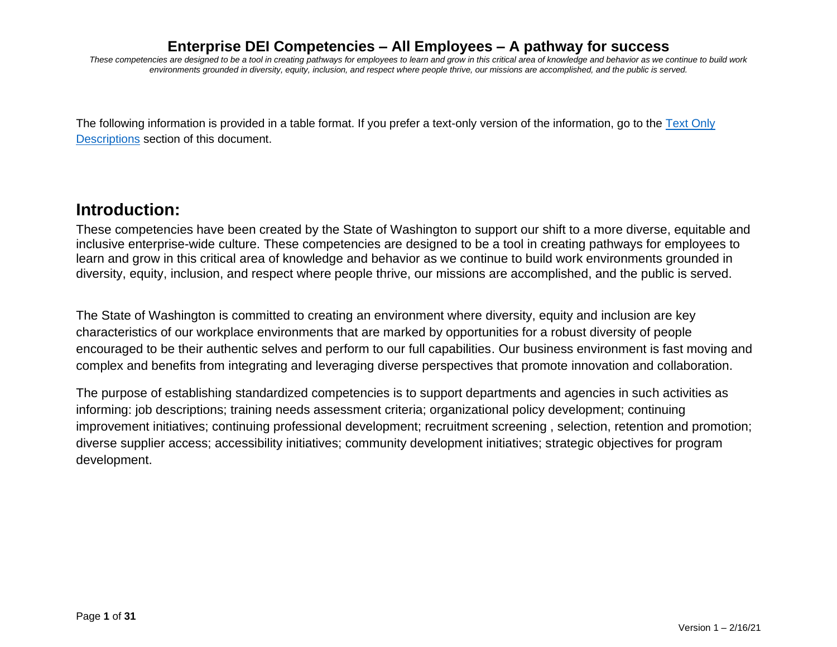*These competencies are designed to be a tool in creating pathways for employees to learn and grow in this critical area of knowledge and behavior as we continue to build work environments grounded in diversity, equity, inclusion, and respect where people thrive, our missions are accomplished, and the public is served.*

The following information is provided in a table format. If you prefer a text-only version of the information, go to the [Text Only](#page-15-0)  [Descriptions](#page-15-0) section of this document.

# **Introduction:**

These competencies have been created by the State of Washington to support our shift to a more diverse, equitable and inclusive enterprise-wide culture. These competencies are designed to be a tool in creating pathways for employees to learn and grow in this critical area of knowledge and behavior as we continue to build work environments grounded in diversity, equity, inclusion, and respect where people thrive, our missions are accomplished, and the public is served.

The State of Washington is committed to creating an environment where diversity, equity and inclusion are key characteristics of our workplace environments that are marked by opportunities for a robust diversity of people encouraged to be their authentic selves and perform to our full capabilities. Our business environment is fast moving and complex and benefits from integrating and leveraging diverse perspectives that promote innovation and collaboration.

The purpose of establishing standardized competencies is to support departments and agencies in such activities as informing: job descriptions; training needs assessment criteria; organizational policy development; continuing improvement initiatives; continuing professional development; recruitment screening , selection, retention and promotion; diverse supplier access; accessibility initiatives; community development initiatives; strategic objectives for program development.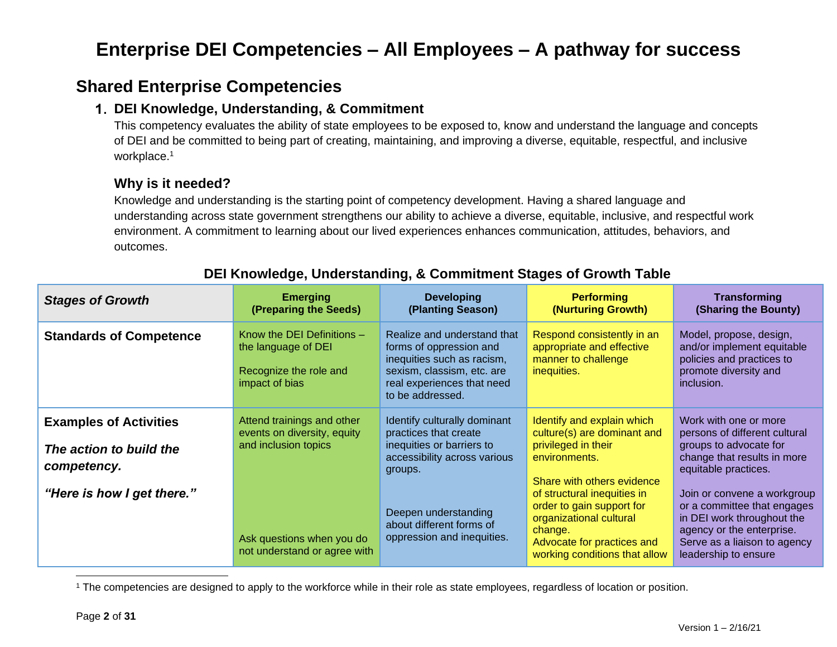# **Shared Enterprise Competencies**

### **DEI Knowledge, Understanding, & Commitment**

This competency evaluates the ability of state employees to be exposed to, know and understand the language and concepts of DEI and be committed to being part of creating, maintaining, and improving a diverse, equitable, respectful, and inclusive workplace.<sup>1</sup>

## **Why is it needed?**

Knowledge and understanding is the starting point of competency development. Having a shared language and understanding across state government strengthens our ability to achieve a diverse, equitable, inclusive, and respectful work environment. A commitment to learning about our lived experiences enhances communication, attitudes, behaviors, and outcomes.

| <b>Stages of Growth</b>                                                 | <b>Emerging</b><br>(Preparing the Seeds)                                                      | <b>Developing</b><br>(Planting Season)                                                                                                                               | <b>Performing</b><br>(Nurturing Growth)                                                                                                                       | <b>Transforming</b><br>(Sharing the Bounty)                                                                                                                                   |
|-------------------------------------------------------------------------|-----------------------------------------------------------------------------------------------|----------------------------------------------------------------------------------------------------------------------------------------------------------------------|---------------------------------------------------------------------------------------------------------------------------------------------------------------|-------------------------------------------------------------------------------------------------------------------------------------------------------------------------------|
| <b>Standards of Competence</b>                                          | Know the DEI Definitions -<br>the language of DEI<br>Recognize the role and<br>impact of bias | Realize and understand that<br>forms of oppression and<br>inequities such as racism,<br>sexism, classism, etc. are<br>real experiences that need<br>to be addressed. | Respond consistently in an<br>appropriate and effective<br>manner to challenge<br>inequities.                                                                 | Model, propose, design,<br>and/or implement equitable<br>policies and practices to<br>promote diversity and<br>inclusion.                                                     |
| <b>Examples of Activities</b><br>The action to build the<br>competency. | Attend trainings and other<br>events on diversity, equity<br>and inclusion topics             | Identify culturally dominant<br>practices that create<br>inequities or barriers to<br>accessibility across various<br>groups.                                        | Identify and explain which<br>culture(s) are dominant and<br>privileged in their<br>environments.<br>Share with others evidence                               | Work with one or more<br>persons of different cultural<br>groups to advocate for<br>change that results in more<br>equitable practices.                                       |
| "Here is how I get there."                                              | Ask questions when you do<br>not understand or agree with                                     | Deepen understanding<br>about different forms of<br>oppression and inequities.                                                                                       | of structural inequities in<br>order to gain support for<br>organizational cultural<br>change.<br>Advocate for practices and<br>working conditions that allow | Join or convene a workgroup<br>or a committee that engages<br>in DEI work throughout the<br>agency or the enterprise.<br>Serve as a liaison to agency<br>leadership to ensure |

# **DEI Knowledge, Understanding, & Commitment Stages of Growth Table**

<sup>1</sup> The competencies are designed to apply to the workforce while in their role as state employees, regardless of location or position.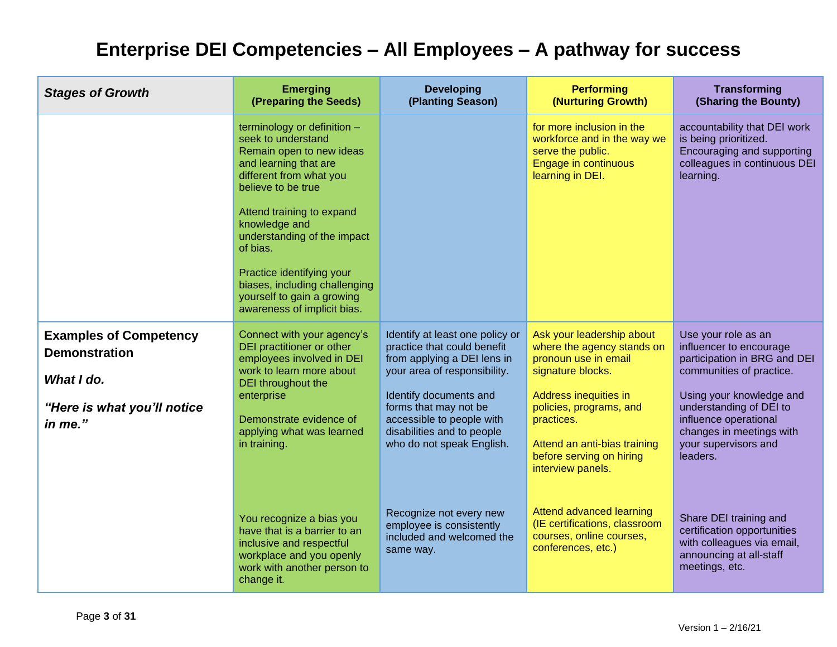| <b>Stages of Growth</b>                                                                                       | <b>Emerging</b><br>(Preparing the Seeds)                                                                                                                                                                                                                                                                                                                                      | <b>Developing</b><br>(Planting Season)                                                                                                                                                                                                                                   | <b>Performing</b><br>(Nurturing Growth)                                                                                                                                                                                                                 | Transforming<br>(Sharing the Bounty)                                                                                                                                                                                                                       |
|---------------------------------------------------------------------------------------------------------------|-------------------------------------------------------------------------------------------------------------------------------------------------------------------------------------------------------------------------------------------------------------------------------------------------------------------------------------------------------------------------------|--------------------------------------------------------------------------------------------------------------------------------------------------------------------------------------------------------------------------------------------------------------------------|---------------------------------------------------------------------------------------------------------------------------------------------------------------------------------------------------------------------------------------------------------|------------------------------------------------------------------------------------------------------------------------------------------------------------------------------------------------------------------------------------------------------------|
|                                                                                                               | terminology or definition $-$<br>seek to understand<br>Remain open to new ideas<br>and learning that are<br>different from what you<br>believe to be true<br>Attend training to expand<br>knowledge and<br>understanding of the impact<br>of bias.<br>Practice identifying your<br>biases, including challenging<br>yourself to gain a growing<br>awareness of implicit bias. |                                                                                                                                                                                                                                                                          | for more inclusion in the<br>workforce and in the way we<br>serve the public.<br>Engage in continuous<br>learning in DEI.                                                                                                                               | accountability that DEI work<br>is being prioritized.<br>Encouraging and supporting<br>colleagues in continuous DEI<br>learning.                                                                                                                           |
| <b>Examples of Competency</b><br><b>Demonstration</b><br>What I do.<br>"Here is what you'll notice<br>in me." | Connect with your agency's<br>DEI practitioner or other<br>employees involved in DEI<br>work to learn more about<br>DEI throughout the<br>enterprise<br>Demonstrate evidence of<br>applying what was learned<br>in training.                                                                                                                                                  | Identify at least one policy or<br>practice that could benefit<br>from applying a DEI lens in<br>your area of responsibility.<br>Identify documents and<br>forms that may not be<br>accessible to people with<br>disabilities and to people<br>who do not speak English. | Ask your leadership about<br>where the agency stands on<br>pronoun use in email<br>signature blocks.<br>Address inequities in<br>policies, programs, and<br>practices.<br>Attend an anti-bias training<br>before serving on hiring<br>interview panels. | Use your role as an<br>influencer to encourage<br>participation in BRG and DEI<br>communities of practice.<br>Using your knowledge and<br>understanding of DEI to<br>influence operational<br>changes in meetings with<br>your supervisors and<br>leaders. |
|                                                                                                               | You recognize a bias you<br>have that is a barrier to an<br>inclusive and respectful<br>workplace and you openly<br>work with another person to<br>change it.                                                                                                                                                                                                                 | Recognize not every new<br>employee is consistently<br>included and welcomed the<br>same way.                                                                                                                                                                            | Attend advanced learning<br>(IE certifications, classroom<br>courses, online courses,<br>conferences, etc.)                                                                                                                                             | Share DEI training and<br>certification opportunities<br>with colleagues via email,<br>announcing at all-staff<br>meetings, etc.                                                                                                                           |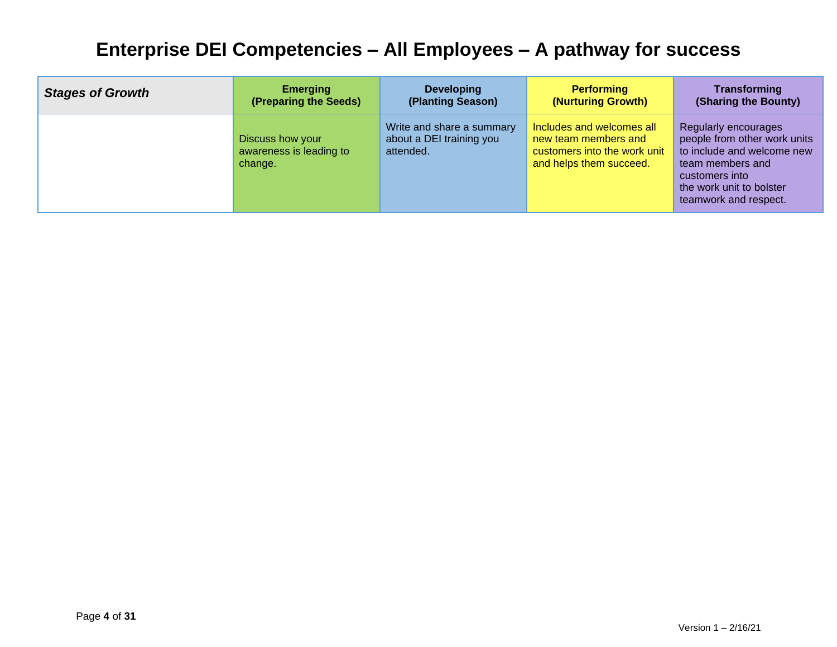| <b>Stages of Growth</b> | <b>Emerging</b>                                        | <b>Developing</b>                                                  | <b>Performing</b>                                                                                            | Transforming                                                                                                                                                                         |
|-------------------------|--------------------------------------------------------|--------------------------------------------------------------------|--------------------------------------------------------------------------------------------------------------|--------------------------------------------------------------------------------------------------------------------------------------------------------------------------------------|
|                         | (Preparing the Seeds)                                  | (Planting Season)                                                  | (Nurturing Growth)                                                                                           | (Sharing the Bounty)                                                                                                                                                                 |
|                         | Discuss how your<br>awareness is leading to<br>change. | Write and share a summary<br>about a DEI training you<br>attended. | Includes and welcomes all<br>new team members and<br>customers into the work unit<br>and helps them succeed. | <b>Regularly encourages</b><br>people from other work units<br>to include and welcome new<br>team members and<br>customers into<br>the work unit to bolster<br>teamwork and respect. |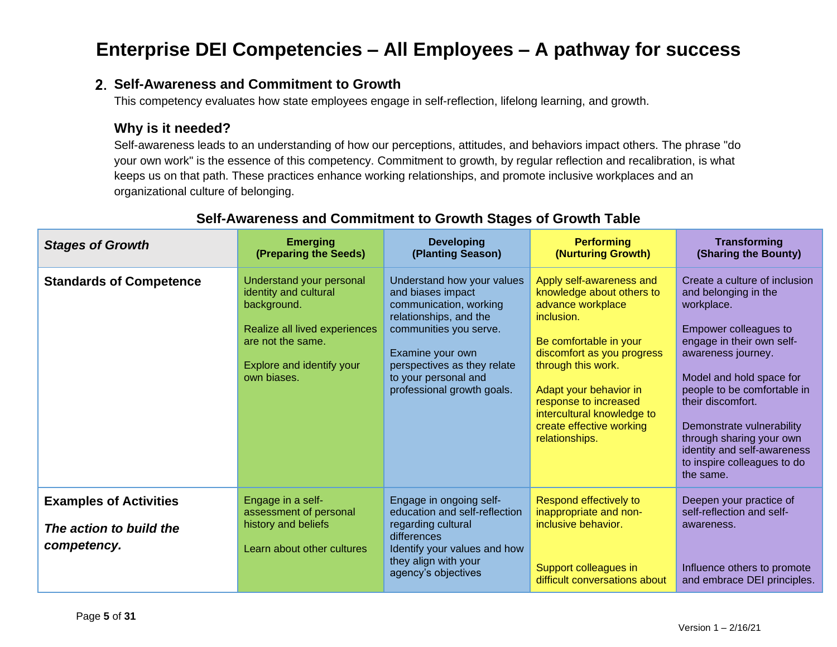### **Self-Awareness and Commitment to Growth**

This competency evaluates how state employees engage in self-reflection, lifelong learning, and growth.

### **Why is it needed?**

Self-awareness leads to an understanding of how our perceptions, attitudes, and behaviors impact others. The phrase "do your own work" is the essence of this competency. Commitment to growth, by regular reflection and recalibration, is what keeps us on that path. These practices enhance working relationships, and promote inclusive workplaces and an organizational culture of belonging.

| <b>Stages of Growth</b>                                                 | <b>Emerging</b><br>(Preparing the Seeds)                                                                                                                           | <b>Developing</b><br>(Planting Season)                                                                                                                                                                                                 | <b>Performing</b><br>(Nurturing Growth)                                                                                                                                                                                                                                                               | <b>Transforming</b><br>(Sharing the Bounty)                                                                                                                                                                                                                                                                                                                         |
|-------------------------------------------------------------------------|--------------------------------------------------------------------------------------------------------------------------------------------------------------------|----------------------------------------------------------------------------------------------------------------------------------------------------------------------------------------------------------------------------------------|-------------------------------------------------------------------------------------------------------------------------------------------------------------------------------------------------------------------------------------------------------------------------------------------------------|---------------------------------------------------------------------------------------------------------------------------------------------------------------------------------------------------------------------------------------------------------------------------------------------------------------------------------------------------------------------|
| <b>Standards of Competence</b>                                          | Understand your personal<br>identity and cultural<br>background.<br>Realize all lived experiences<br>are not the same.<br>Explore and identify your<br>own biases. | Understand how your values<br>and biases impact<br>communication, working<br>relationships, and the<br>communities you serve.<br>Examine your own<br>perspectives as they relate<br>to your personal and<br>professional growth goals. | Apply self-awareness and<br>knowledge about others to<br>advance workplace<br>inclusion.<br>Be comfortable in your<br>discomfort as you progress<br>through this work.<br>Adapt your behavior in<br>response to increased<br>intercultural knowledge to<br>create effective working<br>relationships. | Create a culture of inclusion<br>and belonging in the<br>workplace.<br>Empower colleagues to<br>engage in their own self-<br>awareness journey.<br>Model and hold space for<br>people to be comfortable in<br>their discomfort.<br>Demonstrate vulnerability<br>through sharing your own<br>identity and self-awareness<br>to inspire colleagues to do<br>the same. |
| <b>Examples of Activities</b><br>The action to build the<br>competency. | Engage in a self-<br>assessment of personal<br>history and beliefs<br>Learn about other cultures                                                                   | Engage in ongoing self-<br>education and self-reflection<br>regarding cultural<br>differences<br>Identify your values and how<br>they align with your<br>agency's objectives                                                           | Respond effectively to<br>inappropriate and non-<br>inclusive behavior.<br>Support colleagues in<br>difficult conversations about                                                                                                                                                                     | Deepen your practice of<br>self-reflection and self-<br>awareness.<br>Influence others to promote<br>and embrace DEI principles.                                                                                                                                                                                                                                    |

### **Self-Awareness and Commitment to Growth Stages of Growth Table**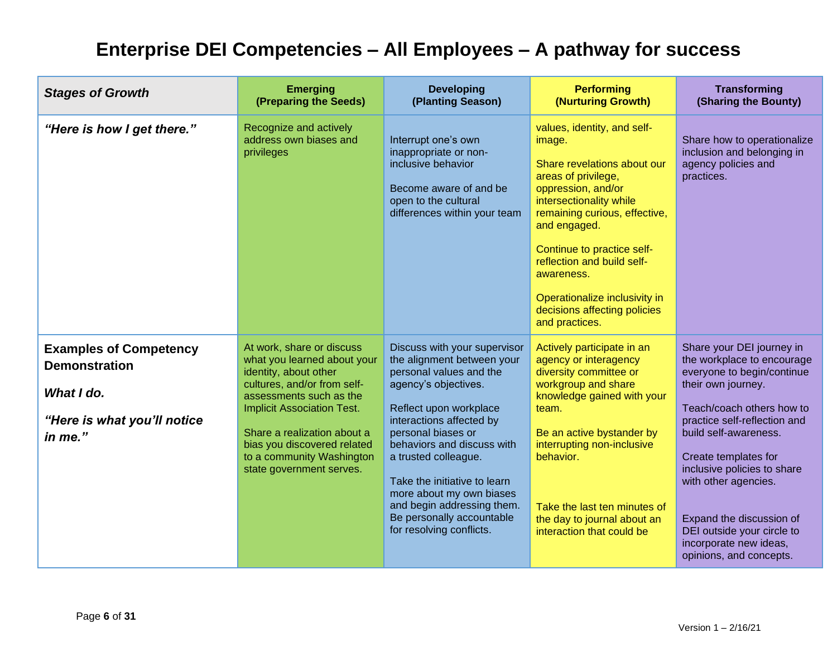| <b>Stages of Growth</b>                                                                                       | <b>Emerging</b><br>(Preparing the Seeds)                                                                                                                                                                                                                                                                | <b>Developing</b><br>(Planting Season)                                                                                                                                                                                                                                                                                                                                                             | <b>Performing</b><br>(Nurturing Growth)                                                                                                                                                                                                                                                                                                                    | <b>Transforming</b><br>(Sharing the Bounty)                                                                                                                                                                                                                                                                                                                                                     |
|---------------------------------------------------------------------------------------------------------------|---------------------------------------------------------------------------------------------------------------------------------------------------------------------------------------------------------------------------------------------------------------------------------------------------------|----------------------------------------------------------------------------------------------------------------------------------------------------------------------------------------------------------------------------------------------------------------------------------------------------------------------------------------------------------------------------------------------------|------------------------------------------------------------------------------------------------------------------------------------------------------------------------------------------------------------------------------------------------------------------------------------------------------------------------------------------------------------|-------------------------------------------------------------------------------------------------------------------------------------------------------------------------------------------------------------------------------------------------------------------------------------------------------------------------------------------------------------------------------------------------|
| "Here is how I get there."                                                                                    | Recognize and actively<br>address own biases and<br>privileges                                                                                                                                                                                                                                          | Interrupt one's own<br>inappropriate or non-<br>inclusive behavior<br>Become aware of and be<br>open to the cultural<br>differences within your team                                                                                                                                                                                                                                               | values, identity, and self-<br>image.<br>Share revelations about our<br>areas of privilege,<br>oppression, and/or<br>intersectionality while<br>remaining curious, effective,<br>and engaged.<br>Continue to practice self-<br>reflection and build self-<br>awareness.<br>Operationalize inclusivity in<br>decisions affecting policies<br>and practices. | Share how to operationalize<br>inclusion and belonging in<br>agency policies and<br>practices.                                                                                                                                                                                                                                                                                                  |
| <b>Examples of Competency</b><br><b>Demonstration</b><br>What I do.<br>"Here is what you'll notice<br>in me." | At work, share or discuss<br>what you learned about your<br>identity, about other<br>cultures, and/or from self-<br>assessments such as the<br><b>Implicit Association Test.</b><br>Share a realization about a<br>bias you discovered related<br>to a community Washington<br>state government serves. | Discuss with your supervisor<br>the alignment between your<br>personal values and the<br>agency's objectives.<br>Reflect upon workplace<br>interactions affected by<br>personal biases or<br>behaviors and discuss with<br>a trusted colleague.<br>Take the initiative to learn<br>more about my own biases<br>and begin addressing them.<br>Be personally accountable<br>for resolving conflicts. | Actively participate in an<br>agency or interagency<br>diversity committee or<br>workgroup and share<br>knowledge gained with your<br>team.<br>Be an active bystander by<br>interrupting non-inclusive<br>behavior.<br>Take the last ten minutes of<br>the day to journal about an<br>interaction that could be                                            | Share your DEI journey in<br>the workplace to encourage<br>everyone to begin/continue<br>their own journey.<br>Teach/coach others how to<br>practice self-reflection and<br>build self-awareness.<br>Create templates for<br>inclusive policies to share<br>with other agencies.<br>Expand the discussion of<br>DEI outside your circle to<br>incorporate new ideas,<br>opinions, and concepts. |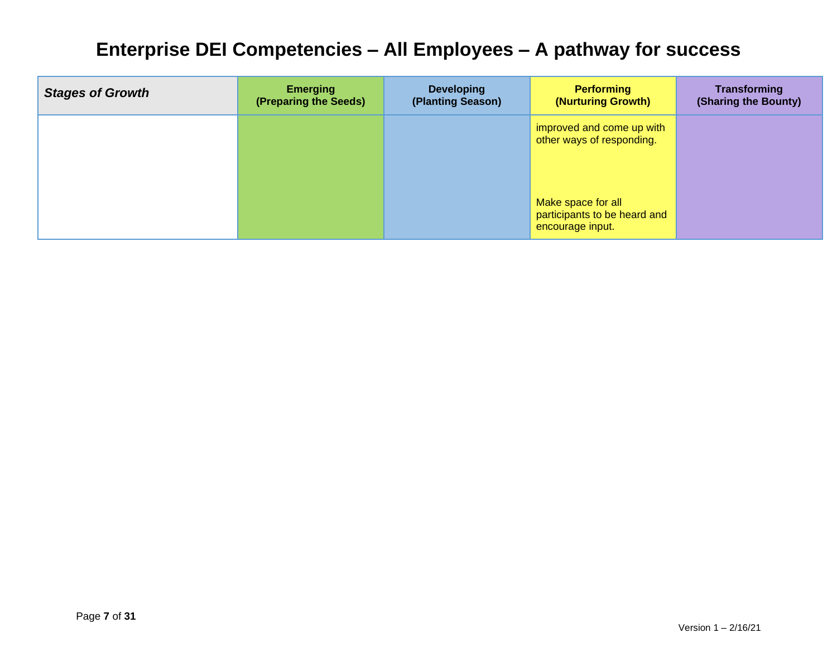| <b>Stages of Growth</b> | <b>Emerging</b><br>(Preparing the Seeds) | <b>Developing</b><br>(Planting Season) | <b>Performing</b><br>(Nurturing Growth)                                | <b>Transforming</b><br>(Sharing the Bounty) |
|-------------------------|------------------------------------------|----------------------------------------|------------------------------------------------------------------------|---------------------------------------------|
|                         |                                          |                                        | improved and come up with<br>other ways of responding.                 |                                             |
|                         |                                          |                                        | Make space for all<br>participants to be heard and<br>encourage input. |                                             |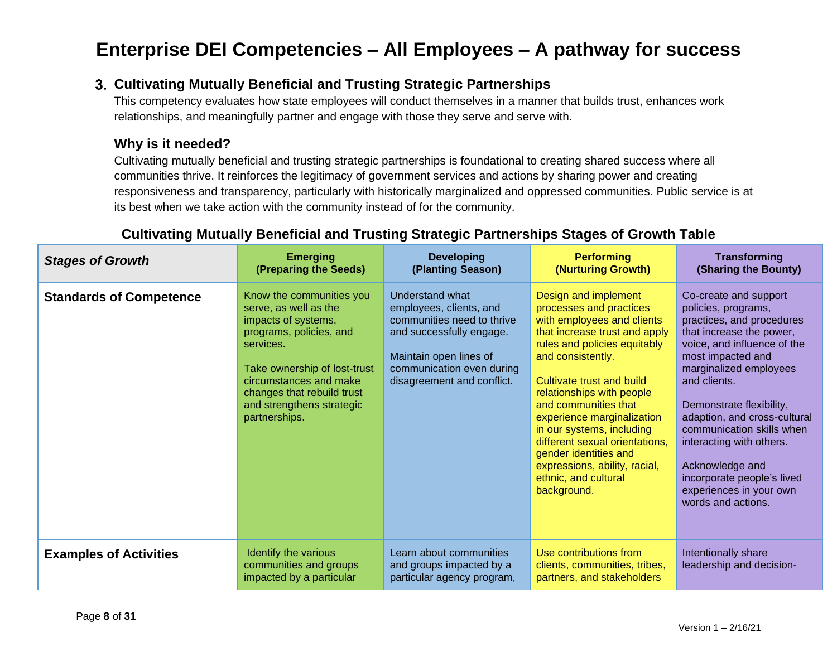## **Cultivating Mutually Beneficial and Trusting Strategic Partnerships**

This competency evaluates how state employees will conduct themselves in a manner that builds trust, enhances work relationships, and meaningfully partner and engage with those they serve and serve with.

### **Why is it needed?**

Cultivating mutually beneficial and trusting strategic partnerships is foundational to creating shared success where all communities thrive. It reinforces the legitimacy of government services and actions by sharing power and creating responsiveness and transparency, particularly with historically marginalized and oppressed communities. Public service is at its best when we take action with the community instead of for the community.

| <b>Stages of Growth</b>        | <b>Emerging</b><br>(Preparing the Seeds)                                                                                                                                                                                                               | <b>Developing</b><br>(Planting Season)                                                                                                                                                    | <b>Performing</b><br>(Nurturing Growth)                                                                                                                                                                                                                                                                                                                                                                                                             | <b>Transforming</b><br>(Sharing the Bounty)                                                                                                                                                                                                                                                                                                                                                                                |
|--------------------------------|--------------------------------------------------------------------------------------------------------------------------------------------------------------------------------------------------------------------------------------------------------|-------------------------------------------------------------------------------------------------------------------------------------------------------------------------------------------|-----------------------------------------------------------------------------------------------------------------------------------------------------------------------------------------------------------------------------------------------------------------------------------------------------------------------------------------------------------------------------------------------------------------------------------------------------|----------------------------------------------------------------------------------------------------------------------------------------------------------------------------------------------------------------------------------------------------------------------------------------------------------------------------------------------------------------------------------------------------------------------------|
| <b>Standards of Competence</b> | Know the communities you<br>serve, as well as the<br>impacts of systems,<br>programs, policies, and<br>services.<br>Take ownership of lost-trust<br>circumstances and make<br>changes that rebuild trust<br>and strengthens strategic<br>partnerships. | Understand what<br>employees, clients, and<br>communities need to thrive<br>and successfully engage.<br>Maintain open lines of<br>communication even during<br>disagreement and conflict. | Design and implement<br>processes and practices<br>with employees and clients<br>that increase trust and apply<br>rules and policies equitably<br>and consistently.<br>Cultivate trust and build<br>relationships with people<br>and communities that<br>experience marginalization<br>in our systems, including<br>different sexual orientations.<br>gender identities and<br>expressions, ability, racial,<br>ethnic, and cultural<br>background. | Co-create and support<br>policies, programs,<br>practices, and procedures<br>that increase the power,<br>voice, and influence of the<br>most impacted and<br>marginalized employees<br>and clients.<br>Demonstrate flexibility,<br>adaption, and cross-cultural<br>communication skills when<br>interacting with others.<br>Acknowledge and<br>incorporate people's lived<br>experiences in your own<br>words and actions. |
| <b>Examples of Activities</b>  | Identify the various<br>communities and groups<br>impacted by a particular                                                                                                                                                                             | Learn about communities<br>and groups impacted by a<br>particular agency program,                                                                                                         | Use contributions from<br>clients, communities, tribes,<br>partners, and stakeholders                                                                                                                                                                                                                                                                                                                                                               | Intentionally share<br>leadership and decision-                                                                                                                                                                                                                                                                                                                                                                            |

# **Cultivating Mutually Beneficial and Trusting Strategic Partnerships Stages of Growth Table**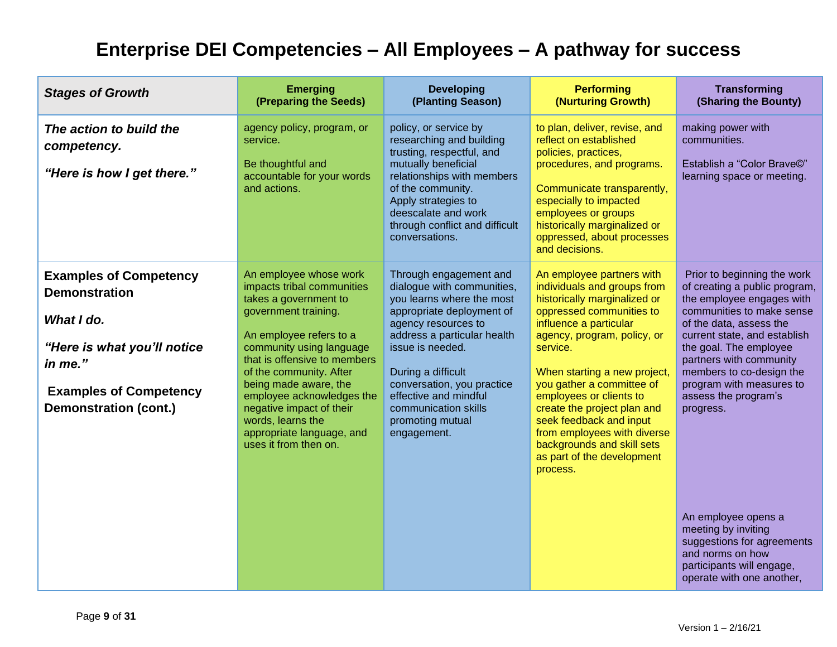| <b>Stages of Growth</b>                                                                                                                                                        | <b>Emerging</b><br>(Preparing the Seeds)                                                                                                                                                                                                                                                                                                                                             | <b>Developing</b><br>(Planting Season)                                                                                                                                                                                                                                                                                           | <b>Performing</b><br>(Nurturing Growth)                                                                                                                                                                                                                                                                                                                                                                                                            | <b>Transforming</b><br>(Sharing the Bounty)                                                                                                                                                                                                                                                                                         |
|--------------------------------------------------------------------------------------------------------------------------------------------------------------------------------|--------------------------------------------------------------------------------------------------------------------------------------------------------------------------------------------------------------------------------------------------------------------------------------------------------------------------------------------------------------------------------------|----------------------------------------------------------------------------------------------------------------------------------------------------------------------------------------------------------------------------------------------------------------------------------------------------------------------------------|----------------------------------------------------------------------------------------------------------------------------------------------------------------------------------------------------------------------------------------------------------------------------------------------------------------------------------------------------------------------------------------------------------------------------------------------------|-------------------------------------------------------------------------------------------------------------------------------------------------------------------------------------------------------------------------------------------------------------------------------------------------------------------------------------|
| The action to build the<br>competency.<br>"Here is how I get there."                                                                                                           | agency policy, program, or<br>service.<br>Be thoughtful and<br>accountable for your words<br>and actions.                                                                                                                                                                                                                                                                            | policy, or service by<br>researching and building<br>trusting, respectful, and<br>mutually beneficial<br>relationships with members<br>of the community.<br>Apply strategies to<br>deescalate and work<br>through conflict and difficult<br>conversations.                                                                       | to plan, deliver, revise, and<br>reflect on established<br>policies, practices,<br>procedures, and programs.<br>Communicate transparently,<br>especially to impacted<br>employees or groups<br>historically marginalized or<br>oppressed, about processes<br>and decisions.                                                                                                                                                                        | making power with<br>communities.<br>Establish a "Color Brave©"<br>learning space or meeting.                                                                                                                                                                                                                                       |
| <b>Examples of Competency</b><br><b>Demonstration</b><br>What I do.<br>"Here is what you'll notice<br>in me."<br><b>Examples of Competency</b><br><b>Demonstration (cont.)</b> | An employee whose work<br>impacts tribal communities<br>takes a government to<br>government training.<br>An employee refers to a<br>community using language<br>that is offensive to members<br>of the community. After<br>being made aware, the<br>employee acknowledges the<br>negative impact of their<br>words, learns the<br>appropriate language, and<br>uses it from then on. | Through engagement and<br>dialogue with communities,<br>you learns where the most<br>appropriate deployment of<br>agency resources to<br>address a particular health<br>issue is needed.<br>During a difficult<br>conversation, you practice<br>effective and mindful<br>communication skills<br>promoting mutual<br>engagement. | An employee partners with<br>individuals and groups from<br>historically marginalized or<br>oppressed communities to<br>influence a particular<br>agency, program, policy, or<br>service.<br>When starting a new project,<br>you gather a committee of<br>employees or clients to<br>create the project plan and<br>seek feedback and input<br>from employees with diverse<br>backgrounds and skill sets<br>as part of the development<br>process. | Prior to beginning the work<br>of creating a public program,<br>the employee engages with<br>communities to make sense<br>of the data, assess the<br>current state, and establish<br>the goal. The employee<br>partners with community<br>members to co-design the<br>program with measures to<br>assess the program's<br>progress. |
|                                                                                                                                                                                |                                                                                                                                                                                                                                                                                                                                                                                      |                                                                                                                                                                                                                                                                                                                                  |                                                                                                                                                                                                                                                                                                                                                                                                                                                    | An employee opens a<br>meeting by inviting<br>suggestions for agreements<br>and norms on how<br>participants will engage,<br>operate with one another,                                                                                                                                                                              |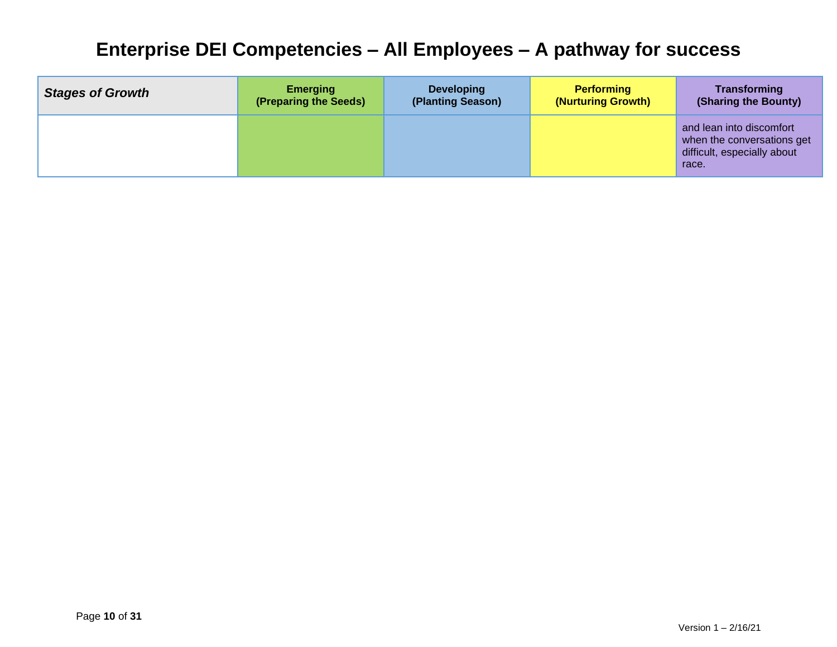| <b>Stages of Growth</b> | <b>Emerging</b>       | <b>Developing</b> | <b>Performing</b>  | <b>Transforming</b>                                                                            |
|-------------------------|-----------------------|-------------------|--------------------|------------------------------------------------------------------------------------------------|
|                         | (Preparing the Seeds) | (Planting Season) | (Nurturing Growth) | (Sharing the Bounty)                                                                           |
|                         |                       |                   |                    | and lean into discomfort<br>when the conversations get<br>difficult, especially about<br>race. |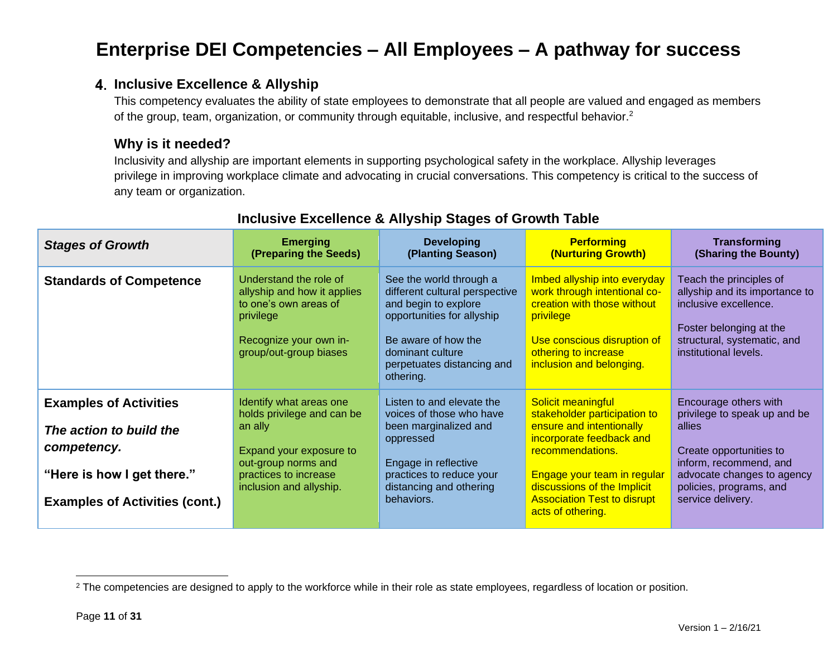### **Inclusive Excellence & Allyship**

This competency evaluates the ability of state employees to demonstrate that all people are valued and engaged as members of the group, team, organization, or community through equitable, inclusive, and respectful behavior.<sup>2</sup>

### **Why is it needed?**

Inclusivity and allyship are important elements in supporting psychological safety in the workplace. Allyship leverages privilege in improving workplace climate and advocating in crucial conversations. This competency is critical to the success of any team or organization.

| <b>Stages of Growth</b>                                                                                                                        | <b>Emerging</b><br>(Preparing the Seeds)                                                                                                                               | <b>Developing</b><br>(Planting Season)                                                                                                                                                                | <b>Performing</b><br>(Nurturing Growth)                                                                                                                                                                                                                 | <b>Transforming</b><br>(Sharing the Bounty)                                                                                                                                                        |
|------------------------------------------------------------------------------------------------------------------------------------------------|------------------------------------------------------------------------------------------------------------------------------------------------------------------------|-------------------------------------------------------------------------------------------------------------------------------------------------------------------------------------------------------|---------------------------------------------------------------------------------------------------------------------------------------------------------------------------------------------------------------------------------------------------------|----------------------------------------------------------------------------------------------------------------------------------------------------------------------------------------------------|
| <b>Standards of Competence</b>                                                                                                                 | Understand the role of<br>allyship and how it applies<br>to one's own areas of<br>privilege<br>Recognize your own in-<br>group/out-group biases                        | See the world through a<br>different cultural perspective<br>and begin to explore<br>opportunities for allyship<br>Be aware of how the<br>dominant culture<br>perpetuates distancing and<br>othering. | Imbed allyship into everyday<br>work through intentional co-<br>creation with those without<br>privilege<br>Use conscious disruption of<br>othering to increase<br>inclusion and belonging.                                                             | Teach the principles of<br>allyship and its importance to<br>inclusive excellence.<br>Foster belonging at the<br>structural, systematic, and<br>institutional levels.                              |
| <b>Examples of Activities</b><br>The action to build the<br>competency.<br>"Here is how I get there."<br><b>Examples of Activities (cont.)</b> | Identify what areas one<br>holds privilege and can be<br>an ally<br>Expand your exposure to<br>out-group norms and<br>practices to increase<br>inclusion and allyship. | Listen to and elevate the<br>voices of those who have<br>been marginalized and<br>oppressed<br>Engage in reflective<br>practices to reduce your<br>distancing and othering<br>behaviors.              | Solicit meaningful<br>stakeholder participation to<br>ensure and intentionally<br>incorporate feedback and<br>recommendations.<br>Engage your team in regular<br>discussions of the Implicit<br><b>Association Test to disrupt</b><br>acts of othering. | Encourage others with<br>privilege to speak up and be<br>allies<br>Create opportunities to<br>inform, recommend, and<br>advocate changes to agency<br>policies, programs, and<br>service delivery. |

# **Inclusive Excellence & Allyship Stages of Growth Table**

<sup>&</sup>lt;sup>2</sup> The competencies are designed to apply to the workforce while in their role as state employees, regardless of location or position.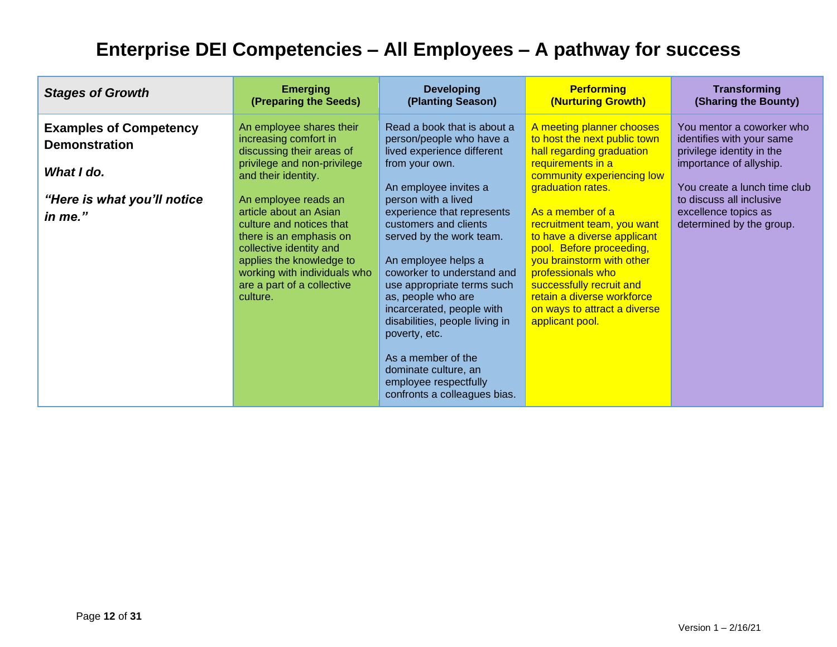| <b>Stages of Growth</b>                                                                                       | <b>Emerging</b>                                                                                                                                                                                                                                                                                                                                                                | <b>Developing</b>                                                                                                                                                                                                                                                                                                                                                                                                                                                                                                                          | <b>Performing</b>                                                                                                                                                                                                                                                                                                                                                                                                                          | <b>Transforming</b>                                                                                                                                                                                                            |
|---------------------------------------------------------------------------------------------------------------|--------------------------------------------------------------------------------------------------------------------------------------------------------------------------------------------------------------------------------------------------------------------------------------------------------------------------------------------------------------------------------|--------------------------------------------------------------------------------------------------------------------------------------------------------------------------------------------------------------------------------------------------------------------------------------------------------------------------------------------------------------------------------------------------------------------------------------------------------------------------------------------------------------------------------------------|--------------------------------------------------------------------------------------------------------------------------------------------------------------------------------------------------------------------------------------------------------------------------------------------------------------------------------------------------------------------------------------------------------------------------------------------|--------------------------------------------------------------------------------------------------------------------------------------------------------------------------------------------------------------------------------|
|                                                                                                               | (Preparing the Seeds)                                                                                                                                                                                                                                                                                                                                                          | (Planting Season)                                                                                                                                                                                                                                                                                                                                                                                                                                                                                                                          | (Nurturing Growth)                                                                                                                                                                                                                                                                                                                                                                                                                         | (Sharing the Bounty)                                                                                                                                                                                                           |
| <b>Examples of Competency</b><br><b>Demonstration</b><br>What I do.<br>"Here is what you'll notice<br>in me." | An employee shares their<br>increasing comfort in<br>discussing their areas of<br>privilege and non-privilege<br>and their identity.<br>An employee reads an<br>article about an Asian<br>culture and notices that<br>there is an emphasis on<br>collective identity and<br>applies the knowledge to<br>working with individuals who<br>are a part of a collective<br>culture. | Read a book that is about a<br>person/people who have a<br>lived experience different<br>from your own.<br>An employee invites a<br>person with a lived<br>experience that represents<br>customers and clients<br>served by the work team.<br>An employee helps a<br>coworker to understand and<br>use appropriate terms such<br>as, people who are<br>incarcerated, people with<br>disabilities, people living in<br>poverty, etc.<br>As a member of the<br>dominate culture, an<br>employee respectfully<br>confronts a colleagues bias. | A meeting planner chooses<br>to host the next public town<br>hall regarding graduation<br>requirements in a<br>community experiencing low<br>graduation rates.<br>As a member of a<br>recruitment team, you want<br>to have a diverse applicant<br>pool. Before proceeding,<br>you brainstorm with other<br>professionals who<br>successfully recruit and<br>retain a diverse workforce<br>on ways to attract a diverse<br>applicant pool. | You mentor a coworker who<br>identifies with your same<br>privilege identity in the<br>importance of allyship.<br>You create a lunch time club<br>to discuss all inclusive<br>excellence topics as<br>determined by the group. |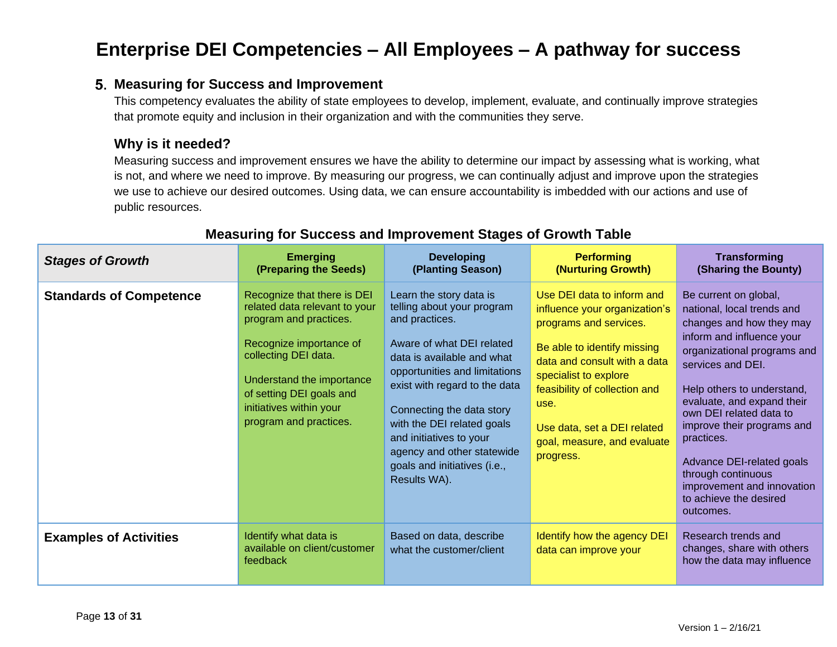### **Measuring for Success and Improvement**

This competency evaluates the ability of state employees to develop, implement, evaluate, and continually improve strategies that promote equity and inclusion in their organization and with the communities they serve.

### **Why is it needed?**

Measuring success and improvement ensures we have the ability to determine our impact by assessing what is working, what is not, and where we need to improve. By measuring our progress, we can continually adjust and improve upon the strategies we use to achieve our desired outcomes. Using data, we can ensure accountability is imbedded with our actions and use of public resources.

| <b>Stages of Growth</b>        | <b>Emerging</b><br>(Preparing the Seeds)                                                                                                                                                                                                                | <b>Developing</b><br>(Planting Season)                                                                                                                                                                                                                                                                                                                                   | <b>Performing</b><br>(Nurturing Growth)                                                                                                                                                                                                                                                           | <b>Transforming</b><br>(Sharing the Bounty)                                                                                                                                                                                                                                                                                                                                                                                 |
|--------------------------------|---------------------------------------------------------------------------------------------------------------------------------------------------------------------------------------------------------------------------------------------------------|--------------------------------------------------------------------------------------------------------------------------------------------------------------------------------------------------------------------------------------------------------------------------------------------------------------------------------------------------------------------------|---------------------------------------------------------------------------------------------------------------------------------------------------------------------------------------------------------------------------------------------------------------------------------------------------|-----------------------------------------------------------------------------------------------------------------------------------------------------------------------------------------------------------------------------------------------------------------------------------------------------------------------------------------------------------------------------------------------------------------------------|
| <b>Standards of Competence</b> | Recognize that there is DEI<br>related data relevant to your<br>program and practices.<br>Recognize importance of<br>collecting DEI data.<br>Understand the importance<br>of setting DEI goals and<br>initiatives within your<br>program and practices. | Learn the story data is<br>telling about your program<br>and practices.<br>Aware of what DEI related<br>data is available and what<br>opportunities and limitations<br>exist with regard to the data<br>Connecting the data story<br>with the DEI related goals<br>and initiatives to your<br>agency and other statewide<br>goals and initiatives (i.e.,<br>Results WA). | Use DEI data to inform and<br>influence your organization's<br>programs and services.<br>Be able to identify missing<br>data and consult with a data<br>specialist to explore<br>feasibility of collection and<br>use.<br>Use data, set a DEI related<br>goal, measure, and evaluate<br>progress. | Be current on global,<br>national, local trends and<br>changes and how they may<br>inform and influence your<br>organizational programs and<br>services and DEI.<br>Help others to understand,<br>evaluate, and expand their<br>own DEI related data to<br>improve their programs and<br>practices.<br>Advance DEI-related goals<br>through continuous<br>improvement and innovation<br>to achieve the desired<br>outcomes. |
| <b>Examples of Activities</b>  | Identify what data is<br>available on client/customer<br>feedback                                                                                                                                                                                       | Based on data, describe<br>what the customer/client                                                                                                                                                                                                                                                                                                                      | Identify how the agency DEI<br>data can improve your                                                                                                                                                                                                                                              | Research trends and<br>changes, share with others<br>how the data may influence                                                                                                                                                                                                                                                                                                                                             |

## **Measuring for Success and Improvement Stages of Growth Table**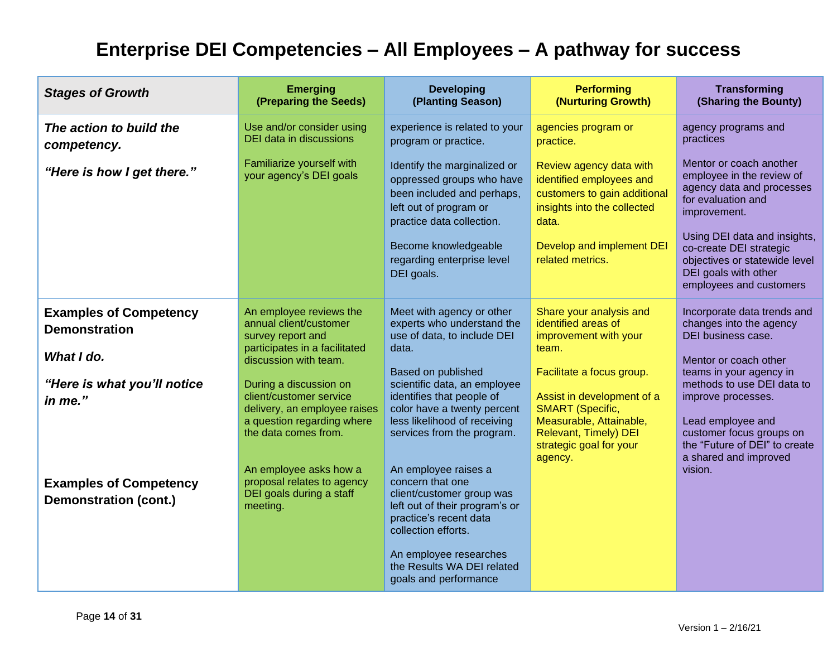| <b>Stages of Growth</b>                                                                                       | <b>Emerging</b><br>(Preparing the Seeds)                                                                                                                                                                                                                                    | <b>Developing</b><br>(Planting Season)                                                                                                                                                                                                                                          | <b>Performing</b><br>(Nurturing Growth)                                                                                                                                                                                                                                 | <b>Transforming</b><br>(Sharing the Bounty)                                                                                                                                                                                                                                                     |
|---------------------------------------------------------------------------------------------------------------|-----------------------------------------------------------------------------------------------------------------------------------------------------------------------------------------------------------------------------------------------------------------------------|---------------------------------------------------------------------------------------------------------------------------------------------------------------------------------------------------------------------------------------------------------------------------------|-------------------------------------------------------------------------------------------------------------------------------------------------------------------------------------------------------------------------------------------------------------------------|-------------------------------------------------------------------------------------------------------------------------------------------------------------------------------------------------------------------------------------------------------------------------------------------------|
| The action to build the<br>competency.                                                                        | Use and/or consider using<br>DEI data in discussions                                                                                                                                                                                                                        | experience is related to your<br>program or practice.                                                                                                                                                                                                                           | agencies program or<br>practice.                                                                                                                                                                                                                                        | agency programs and<br>practices                                                                                                                                                                                                                                                                |
| "Here is how I get there."                                                                                    | Familiarize yourself with<br>your agency's DEI goals                                                                                                                                                                                                                        | Identify the marginalized or<br>oppressed groups who have<br>been included and perhaps,<br>left out of program or<br>practice data collection.<br>Become knowledgeable<br>regarding enterprise level<br>DEI goals.                                                              | Review agency data with<br>identified employees and<br>customers to gain additional<br>insights into the collected<br>data.<br>Develop and implement DEI<br>related metrics.                                                                                            | Mentor or coach another<br>employee in the review of<br>agency data and processes<br>for evaluation and<br>improvement.<br>Using DEI data and insights,<br>co-create DEI strategic<br>objectives or statewide level<br>DEI goals with other<br>employees and customers                          |
| <b>Examples of Competency</b><br><b>Demonstration</b><br>What I do.<br>"Here is what you'll notice<br>in me." | An employee reviews the<br>annual client/customer<br>survey report and<br>participates in a facilitated<br>discussion with team.<br>During a discussion on<br>client/customer service<br>delivery, an employee raises<br>a question regarding where<br>the data comes from. | Meet with agency or other<br>experts who understand the<br>use of data, to include DEI<br>data.<br>Based on published<br>scientific data, an employee<br>identifies that people of<br>color have a twenty percent<br>less likelihood of receiving<br>services from the program. | Share your analysis and<br>identified areas of<br>improvement with your<br>team.<br>Facilitate a focus group.<br>Assist in development of a<br><b>SMART</b> (Specific,<br>Measurable, Attainable,<br><b>Relevant, Timely) DEI</b><br>strategic goal for your<br>agency. | Incorporate data trends and<br>changes into the agency<br>DEI business case.<br>Mentor or coach other<br>teams in your agency in<br>methods to use DEI data to<br>improve processes.<br>Lead employee and<br>customer focus groups on<br>the "Future of DEI" to create<br>a shared and improved |
| <b>Examples of Competency</b><br><b>Demonstration (cont.)</b>                                                 | An employee asks how a<br>proposal relates to agency<br>DEI goals during a staff<br>meeting.                                                                                                                                                                                | An employee raises a<br>concern that one<br>client/customer group was<br>left out of their program's or<br>practice's recent data<br>collection efforts.<br>An employee researches<br>the Results WA DEI related<br>goals and performance                                       |                                                                                                                                                                                                                                                                         | vision.                                                                                                                                                                                                                                                                                         |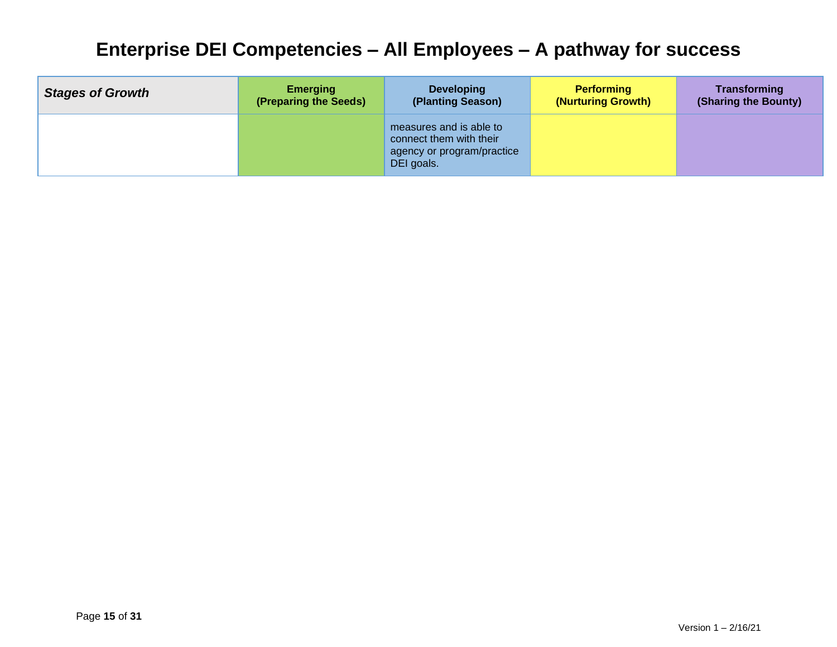| <b>Stages of Growth</b> | <b>Emerging</b>       | <b>Developing</b>                                                                              | <b>Performing</b>  | <b>Transforming</b>  |
|-------------------------|-----------------------|------------------------------------------------------------------------------------------------|--------------------|----------------------|
|                         | (Preparing the Seeds) | (Planting Season)                                                                              | (Nurturing Growth) | (Sharing the Bounty) |
|                         |                       | measures and is able to<br>connect them with their<br>agency or program/practice<br>DEI goals. |                    |                      |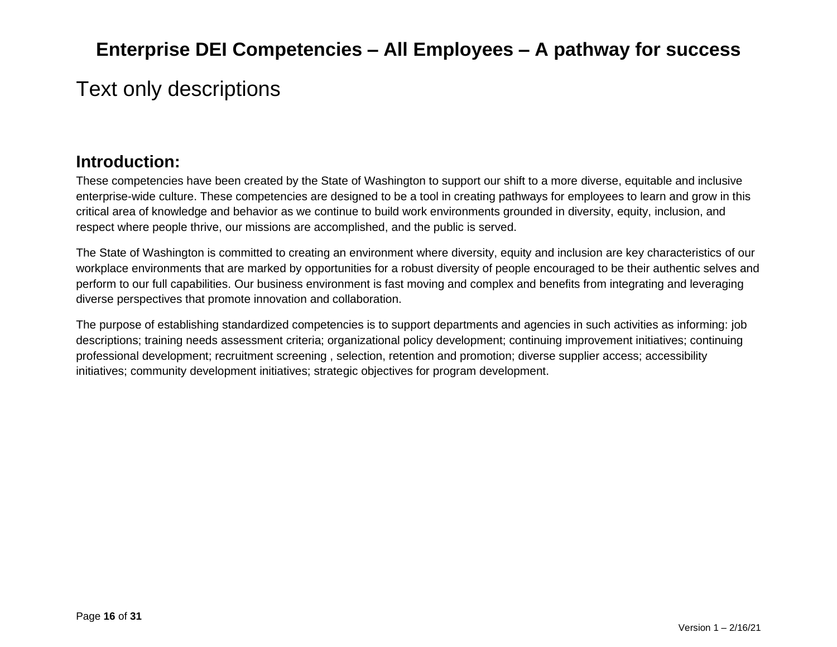# <span id="page-15-0"></span>Text only descriptions

# **Introduction:**

These competencies have been created by the State of Washington to support our shift to a more diverse, equitable and inclusive enterprise-wide culture. These competencies are designed to be a tool in creating pathways for employees to learn and grow in this critical area of knowledge and behavior as we continue to build work environments grounded in diversity, equity, inclusion, and respect where people thrive, our missions are accomplished, and the public is served.

The State of Washington is committed to creating an environment where diversity, equity and inclusion are key characteristics of our workplace environments that are marked by opportunities for a robust diversity of people encouraged to be their authentic selves and perform to our full capabilities. Our business environment is fast moving and complex and benefits from integrating and leveraging diverse perspectives that promote innovation and collaboration.

The purpose of establishing standardized competencies is to support departments and agencies in such activities as informing: job descriptions; training needs assessment criteria; organizational policy development; continuing improvement initiatives; continuing professional development; recruitment screening , selection, retention and promotion; diverse supplier access; accessibility initiatives; community development initiatives; strategic objectives for program development.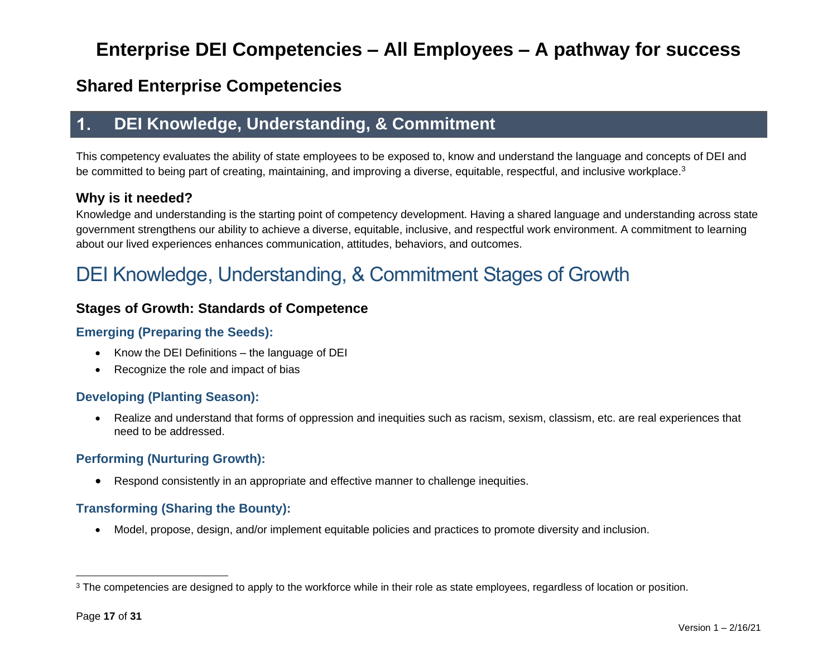# **Shared Enterprise Competencies**

#### **DEI Knowledge, Understanding, & Commitment**  $\mathbf 1$ .

This competency evaluates the ability of state employees to be exposed to, know and understand the language and concepts of DEI and be committed to being part of creating, maintaining, and improving a diverse, equitable, respectful, and inclusive workplace.<sup>3</sup>

### **Why is it needed?**

Knowledge and understanding is the starting point of competency development. Having a shared language and understanding across state government strengthens our ability to achieve a diverse, equitable, inclusive, and respectful work environment. A commitment to learning about our lived experiences enhances communication, attitudes, behaviors, and outcomes.

# DEI Knowledge, Understanding, & Commitment Stages of Growth

## **Stages of Growth: Standards of Competence**

### **Emerging (Preparing the Seeds):**

- Know the DEI Definitions the language of DEI
- Recognize the role and impact of bias

### **Developing (Planting Season):**

• Realize and understand that forms of oppression and inequities such as racism, sexism, classism, etc. are real experiences that need to be addressed.

### **Performing (Nurturing Growth):**

• Respond consistently in an appropriate and effective manner to challenge inequities.

### **Transforming (Sharing the Bounty):**

• Model, propose, design, and/or implement equitable policies and practices to promote diversity and inclusion.

<sup>&</sup>lt;sup>3</sup> The competencies are designed to apply to the workforce while in their role as state employees, regardless of location or position.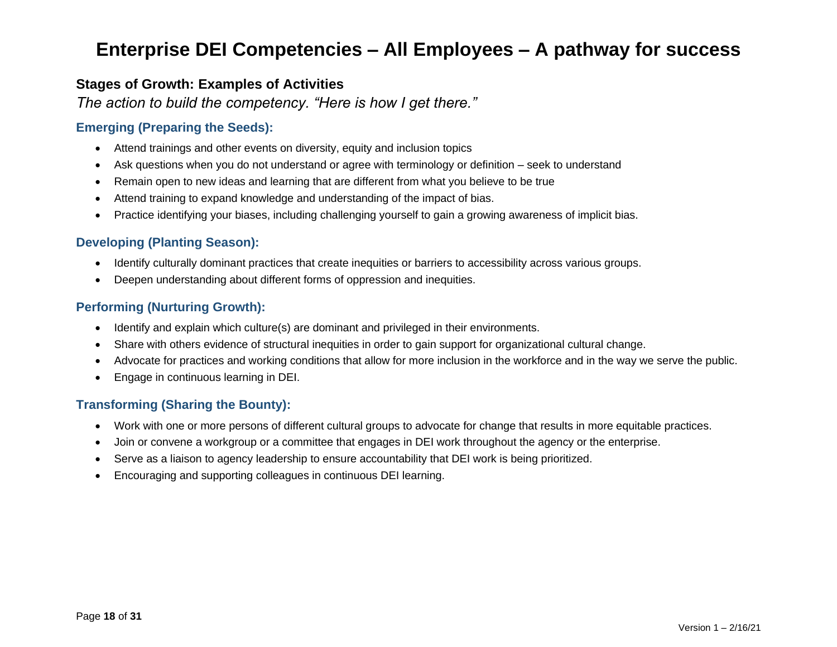### **Stages of Growth: Examples of Activities**

*The action to build the competency. "Here is how I get there."*

#### **Emerging (Preparing the Seeds):**

- Attend trainings and other events on diversity, equity and inclusion topics
- Ask questions when you do not understand or agree with terminology or definition seek to understand
- Remain open to new ideas and learning that are different from what you believe to be true
- Attend training to expand knowledge and understanding of the impact of bias.
- Practice identifying your biases, including challenging yourself to gain a growing awareness of implicit bias.

#### **Developing (Planting Season):**

- Identify culturally dominant practices that create inequities or barriers to accessibility across various groups.
- Deepen understanding about different forms of oppression and inequities.

#### **Performing (Nurturing Growth):**

- Identify and explain which culture(s) are dominant and privileged in their environments.
- Share with others evidence of structural inequities in order to gain support for organizational cultural change.
- Advocate for practices and working conditions that allow for more inclusion in the workforce and in the way we serve the public.
- Engage in continuous learning in DEI.

- Work with one or more persons of different cultural groups to advocate for change that results in more equitable practices.
- Join or convene a workgroup or a committee that engages in DEI work throughout the agency or the enterprise.
- Serve as a liaison to agency leadership to ensure accountability that DEI work is being prioritized.
- Encouraging and supporting colleagues in continuous DEI learning.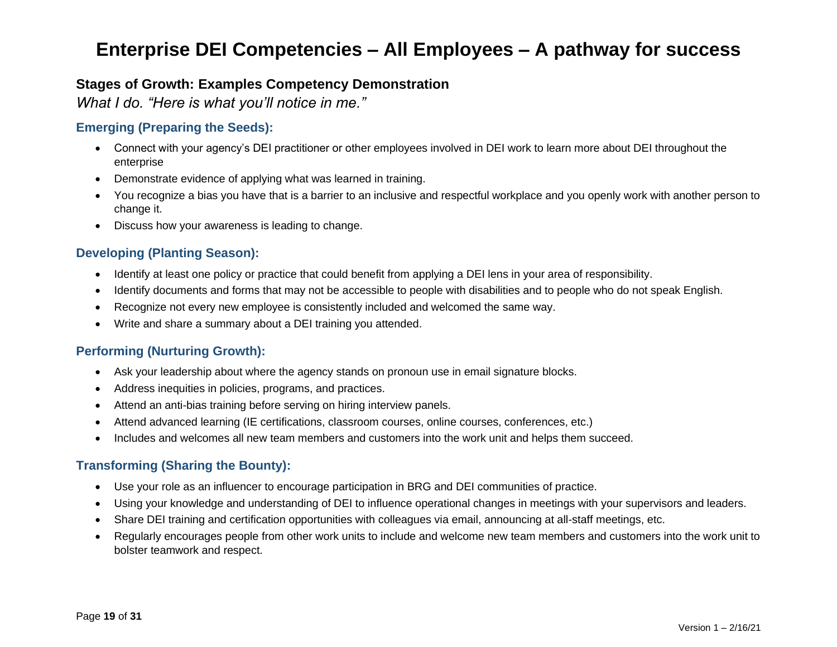### **Stages of Growth: Examples Competency Demonstration**

*What I do. "Here is what you'll notice in me."*

#### **Emerging (Preparing the Seeds):**

- Connect with your agency's DEI practitioner or other employees involved in DEI work to learn more about DEI throughout the enterprise
- Demonstrate evidence of applying what was learned in training.
- You recognize a bias you have that is a barrier to an inclusive and respectful workplace and you openly work with another person to change it.
- Discuss how your awareness is leading to change.

#### **Developing (Planting Season):**

- Identify at least one policy or practice that could benefit from applying a DEI lens in your area of responsibility.
- Identify documents and forms that may not be accessible to people with disabilities and to people who do not speak English.
- Recognize not every new employee is consistently included and welcomed the same way.
- Write and share a summary about a DEI training you attended.

#### **Performing (Nurturing Growth):**

- Ask your leadership about where the agency stands on pronoun use in email signature blocks.
- Address inequities in policies, programs, and practices.
- Attend an anti-bias training before serving on hiring interview panels.
- Attend advanced learning (IE certifications, classroom courses, online courses, conferences, etc.)
- Includes and welcomes all new team members and customers into the work unit and helps them succeed.

- Use your role as an influencer to encourage participation in BRG and DEI communities of practice.
- Using your knowledge and understanding of DEI to influence operational changes in meetings with your supervisors and leaders.
- Share DEI training and certification opportunities with colleagues via email, announcing at all-staff meetings, etc.
- Regularly encourages people from other work units to include and welcome new team members and customers into the work unit to bolster teamwork and respect.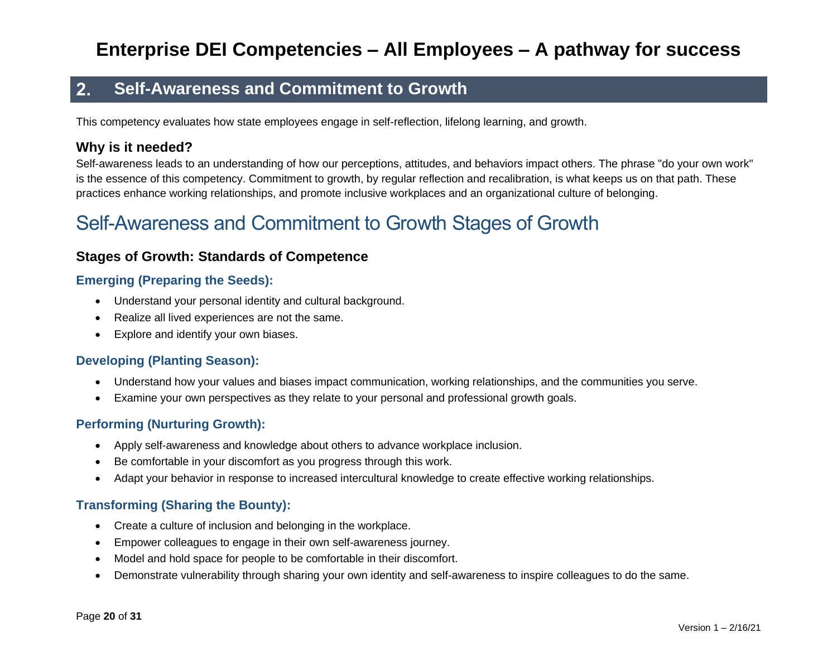#### $2.$ **Self-Awareness and Commitment to Growth**

This competency evaluates how state employees engage in self-reflection, lifelong learning, and growth.

### **Why is it needed?**

Self-awareness leads to an understanding of how our perceptions, attitudes, and behaviors impact others. The phrase "do your own work" is the essence of this competency. Commitment to growth, by regular reflection and recalibration, is what keeps us on that path. These practices enhance working relationships, and promote inclusive workplaces and an organizational culture of belonging.

# Self-Awareness and Commitment to Growth Stages of Growth

### **Stages of Growth: Standards of Competence**

#### **Emerging (Preparing the Seeds):**

- Understand your personal identity and cultural background.
- Realize all lived experiences are not the same.
- Explore and identify your own biases.

#### **Developing (Planting Season):**

- Understand how your values and biases impact communication, working relationships, and the communities you serve.
- Examine your own perspectives as they relate to your personal and professional growth goals.

#### **Performing (Nurturing Growth):**

- Apply self-awareness and knowledge about others to advance workplace inclusion.
- Be comfortable in your discomfort as you progress through this work.
- Adapt your behavior in response to increased intercultural knowledge to create effective working relationships.

- Create a culture of inclusion and belonging in the workplace.
- Empower colleagues to engage in their own self-awareness journey.
- Model and hold space for people to be comfortable in their discomfort.
- Demonstrate vulnerability through sharing your own identity and self-awareness to inspire colleagues to do the same.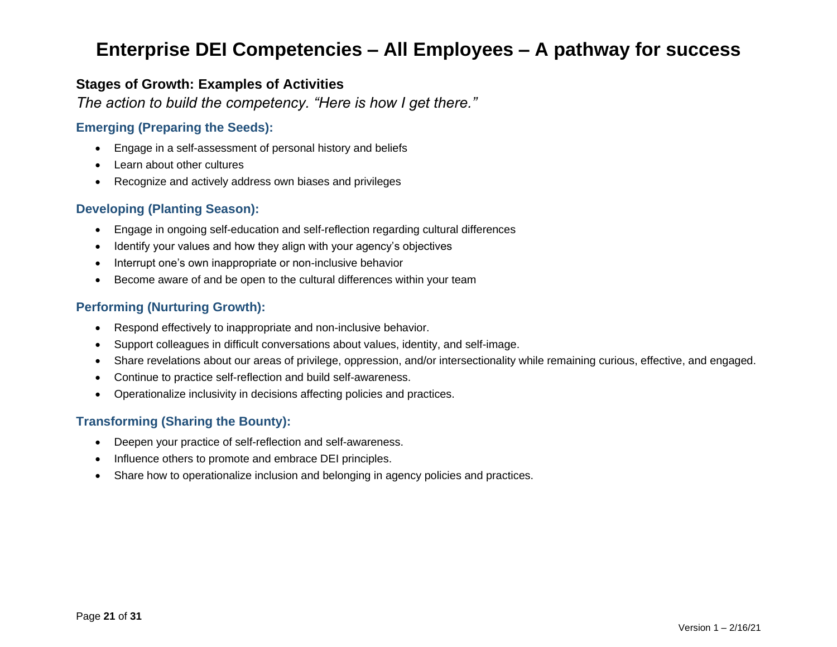### **Stages of Growth: Examples of Activities**

*The action to build the competency. "Here is how I get there."*

#### **Emerging (Preparing the Seeds):**

- Engage in a self-assessment of personal history and beliefs
- Learn about other cultures
- Recognize and actively address own biases and privileges

#### **Developing (Planting Season):**

- Engage in ongoing self-education and self-reflection regarding cultural differences
- Identify your values and how they align with your agency's objectives
- Interrupt one's own inappropriate or non-inclusive behavior
- Become aware of and be open to the cultural differences within your team

#### **Performing (Nurturing Growth):**

- Respond effectively to inappropriate and non-inclusive behavior.
- Support colleagues in difficult conversations about values, identity, and self-image.
- Share revelations about our areas of privilege, oppression, and/or intersectionality while remaining curious, effective, and engaged.
- Continue to practice self-reflection and build self-awareness.
- Operationalize inclusivity in decisions affecting policies and practices.

- Deepen your practice of self-reflection and self-awareness.
- Influence others to promote and embrace DEI principles.
- Share how to operationalize inclusion and belonging in agency policies and practices.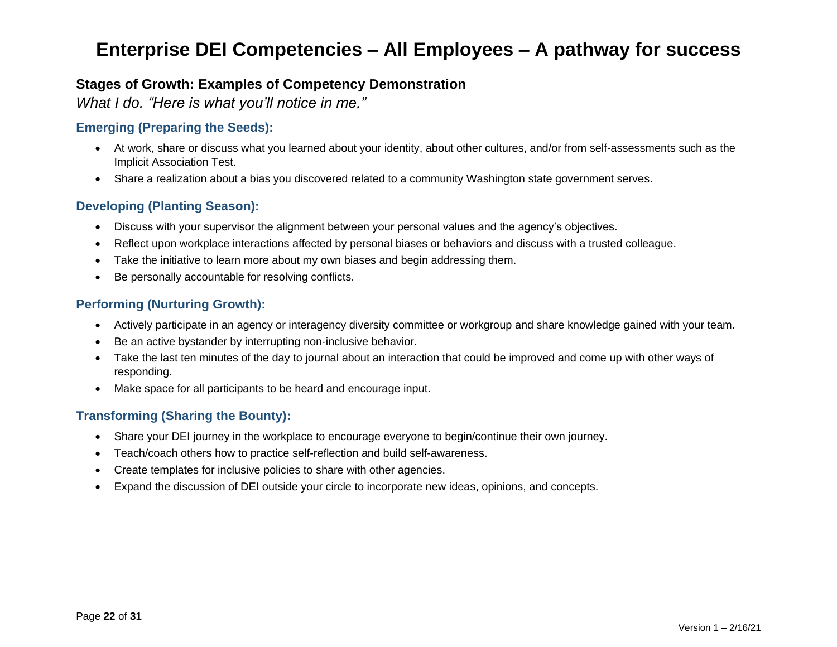## **Stages of Growth: Examples of Competency Demonstration**

*What I do. "Here is what you'll notice in me."*

### **Emerging (Preparing the Seeds):**

- At work, share or discuss what you learned about your identity, about other cultures, and/or from self-assessments such as the Implicit Association Test.
- Share a realization about a bias you discovered related to a community Washington state government serves.

#### **Developing (Planting Season):**

- Discuss with your supervisor the alignment between your personal values and the agency's objectives.
- Reflect upon workplace interactions affected by personal biases or behaviors and discuss with a trusted colleague.
- Take the initiative to learn more about my own biases and begin addressing them.
- Be personally accountable for resolving conflicts.

#### **Performing (Nurturing Growth):**

- Actively participate in an agency or interagency diversity committee or workgroup and share knowledge gained with your team.
- Be an active bystander by interrupting non-inclusive behavior.
- Take the last ten minutes of the day to journal about an interaction that could be improved and come up with other ways of responding.
- Make space for all participants to be heard and encourage input.

- Share your DEI journey in the workplace to encourage everyone to begin/continue their own journey.
- Teach/coach others how to practice self-reflection and build self-awareness.
- Create templates for inclusive policies to share with other agencies.
- Expand the discussion of DEI outside your circle to incorporate new ideas, opinions, and concepts.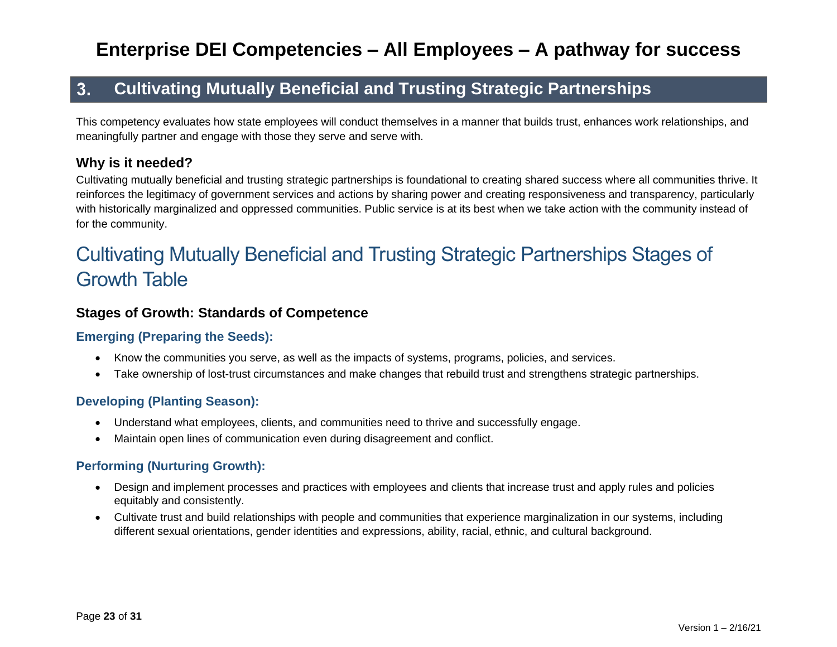#### $3.$ **Cultivating Mutually Beneficial and Trusting Strategic Partnerships**

This competency evaluates how state employees will conduct themselves in a manner that builds trust, enhances work relationships, and meaningfully partner and engage with those they serve and serve with.

# **Why is it needed?**

Cultivating mutually beneficial and trusting strategic partnerships is foundational to creating shared success where all communities thrive. It reinforces the legitimacy of government services and actions by sharing power and creating responsiveness and transparency, particularly with historically marginalized and oppressed communities. Public service is at its best when we take action with the community instead of for the community.

# Cultivating Mutually Beneficial and Trusting Strategic Partnerships Stages of Growth Table

### **Stages of Growth: Standards of Competence**

#### **Emerging (Preparing the Seeds):**

- Know the communities you serve, as well as the impacts of systems, programs, policies, and services.
- Take ownership of lost-trust circumstances and make changes that rebuild trust and strengthens strategic partnerships.

### **Developing (Planting Season):**

- Understand what employees, clients, and communities need to thrive and successfully engage.
- Maintain open lines of communication even during disagreement and conflict.

### **Performing (Nurturing Growth):**

- Design and implement processes and practices with employees and clients that increase trust and apply rules and policies equitably and consistently.
- Cultivate trust and build relationships with people and communities that experience marginalization in our systems, including different sexual orientations, gender identities and expressions, ability, racial, ethnic, and cultural background.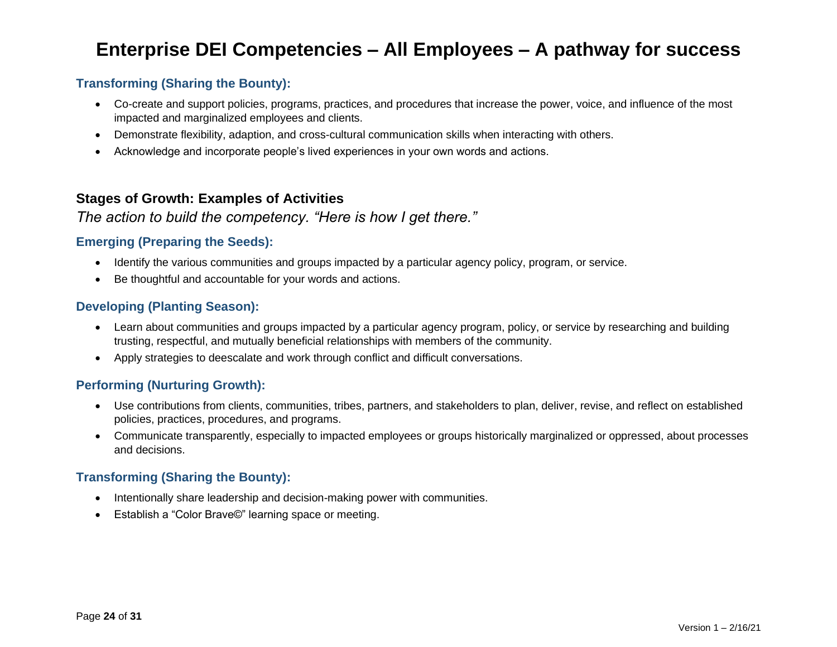### **Transforming (Sharing the Bounty):**

- Co-create and support policies, programs, practices, and procedures that increase the power, voice, and influence of the most impacted and marginalized employees and clients.
- Demonstrate flexibility, adaption, and cross-cultural communication skills when interacting with others.
- Acknowledge and incorporate people's lived experiences in your own words and actions.

### **Stages of Growth: Examples of Activities**

### *The action to build the competency. "Here is how I get there."*

#### **Emerging (Preparing the Seeds):**

- Identify the various communities and groups impacted by a particular agency policy, program, or service.
- Be thoughtful and accountable for your words and actions.

#### **Developing (Planting Season):**

- Learn about communities and groups impacted by a particular agency program, policy, or service by researching and building trusting, respectful, and mutually beneficial relationships with members of the community.
- Apply strategies to deescalate and work through conflict and difficult conversations.

#### **Performing (Nurturing Growth):**

- Use contributions from clients, communities, tribes, partners, and stakeholders to plan, deliver, revise, and reflect on established policies, practices, procedures, and programs.
- Communicate transparently, especially to impacted employees or groups historically marginalized or oppressed, about processes and decisions.

- Intentionally share leadership and decision-making power with communities.
- Establish a "Color Brave©" learning space or meeting.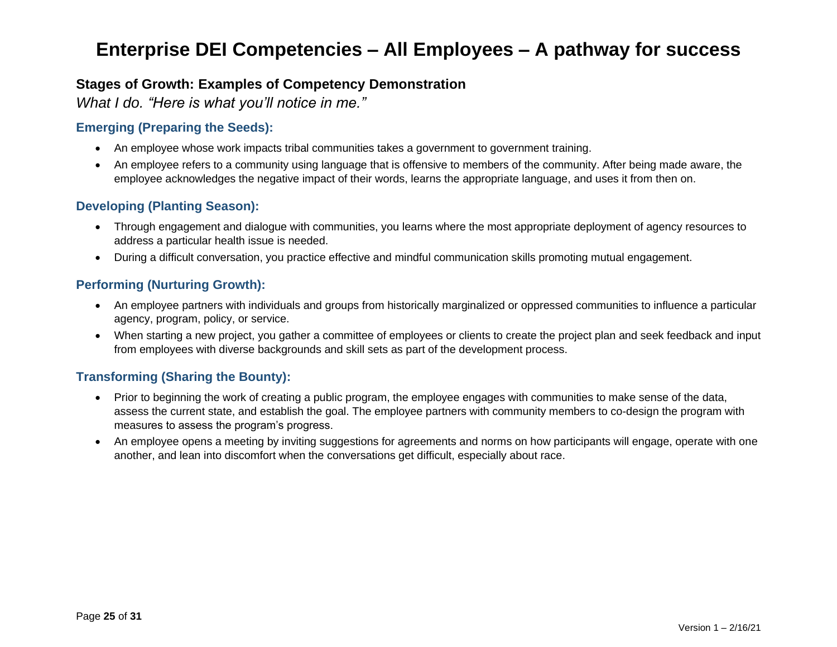### **Stages of Growth: Examples of Competency Demonstration**

*What I do. "Here is what you'll notice in me."*

### **Emerging (Preparing the Seeds):**

- An employee whose work impacts tribal communities takes a government to government training.
- An employee refers to a community using language that is offensive to members of the community. After being made aware, the employee acknowledges the negative impact of their words, learns the appropriate language, and uses it from then on.

#### **Developing (Planting Season):**

- Through engagement and dialogue with communities, you learns where the most appropriate deployment of agency resources to address a particular health issue is needed.
- During a difficult conversation, you practice effective and mindful communication skills promoting mutual engagement.

#### **Performing (Nurturing Growth):**

- An employee partners with individuals and groups from historically marginalized or oppressed communities to influence a particular agency, program, policy, or service.
- When starting a new project, you gather a committee of employees or clients to create the project plan and seek feedback and input from employees with diverse backgrounds and skill sets as part of the development process.

- Prior to beginning the work of creating a public program, the employee engages with communities to make sense of the data, assess the current state, and establish the goal. The employee partners with community members to co-design the program with measures to assess the program's progress.
- An employee opens a meeting by inviting suggestions for agreements and norms on how participants will engage, operate with one another, and lean into discomfort when the conversations get difficult, especially about race.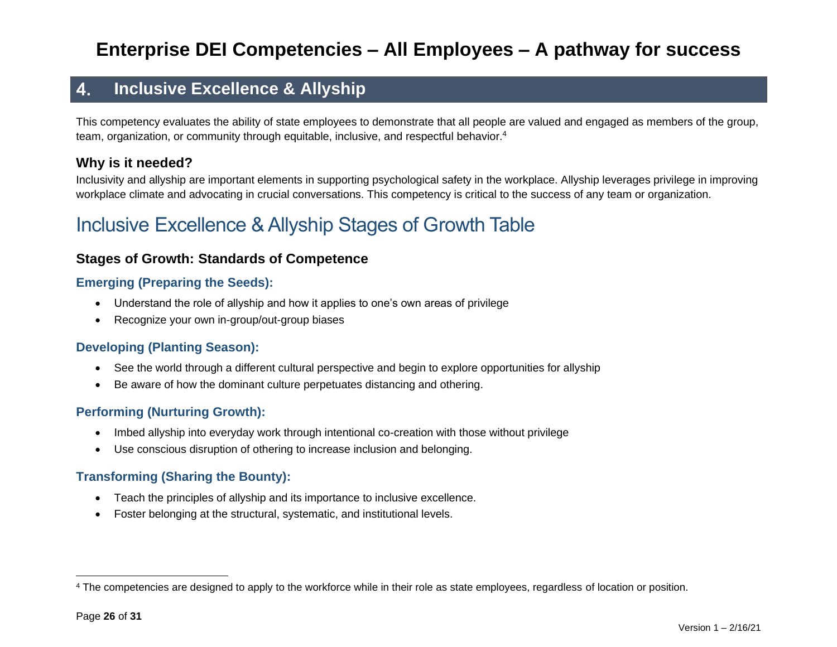#### **Inclusive Excellence & Allyship** 4.

This competency evaluates the ability of state employees to demonstrate that all people are valued and engaged as members of the group, team, organization, or community through equitable, inclusive, and respectful behavior.<sup>4</sup>

## **Why is it needed?**

Inclusivity and allyship are important elements in supporting psychological safety in the workplace. Allyship leverages privilege in improving workplace climate and advocating in crucial conversations. This competency is critical to the success of any team or organization.

# Inclusive Excellence & Allyship Stages of Growth Table

### **Stages of Growth: Standards of Competence**

#### **Emerging (Preparing the Seeds):**

- Understand the role of allyship and how it applies to one's own areas of privilege
- Recognize your own in-group/out-group biases

### **Developing (Planting Season):**

- See the world through a different cultural perspective and begin to explore opportunities for allyship
- Be aware of how the dominant culture perpetuates distancing and othering.

#### **Performing (Nurturing Growth):**

- Imbed allyship into everyday work through intentional co-creation with those without privilege
- Use conscious disruption of othering to increase inclusion and belonging.

- Teach the principles of allyship and its importance to inclusive excellence.
- Foster belonging at the structural, systematic, and institutional levels.

<sup>&</sup>lt;sup>4</sup> The competencies are designed to apply to the workforce while in their role as state employees, regardless of location or position.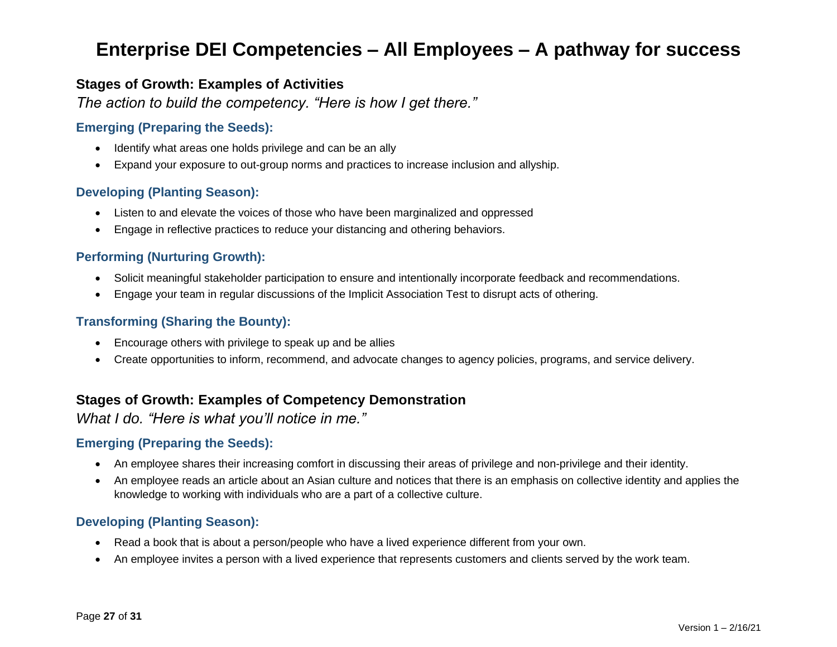### **Stages of Growth: Examples of Activities**

*The action to build the competency. "Here is how I get there."*

#### **Emerging (Preparing the Seeds):**

- Identify what areas one holds privilege and can be an ally
- Expand your exposure to out-group norms and practices to increase inclusion and allyship.

#### **Developing (Planting Season):**

- Listen to and elevate the voices of those who have been marginalized and oppressed
- Engage in reflective practices to reduce your distancing and othering behaviors.

#### **Performing (Nurturing Growth):**

- Solicit meaningful stakeholder participation to ensure and intentionally incorporate feedback and recommendations.
- Engage your team in regular discussions of the Implicit Association Test to disrupt acts of othering.

#### **Transforming (Sharing the Bounty):**

- Encourage others with privilege to speak up and be allies
- Create opportunities to inform, recommend, and advocate changes to agency policies, programs, and service delivery.

### **Stages of Growth: Examples of Competency Demonstration**

*What I do. "Here is what you'll notice in me."*

#### **Emerging (Preparing the Seeds):**

- An employee shares their increasing comfort in discussing their areas of privilege and non-privilege and their identity.
- An employee reads an article about an Asian culture and notices that there is an emphasis on collective identity and applies the knowledge to working with individuals who are a part of a collective culture.

#### **Developing (Planting Season):**

- Read a book that is about a person/people who have a lived experience different from your own.
- An employee invites a person with a lived experience that represents customers and clients served by the work team.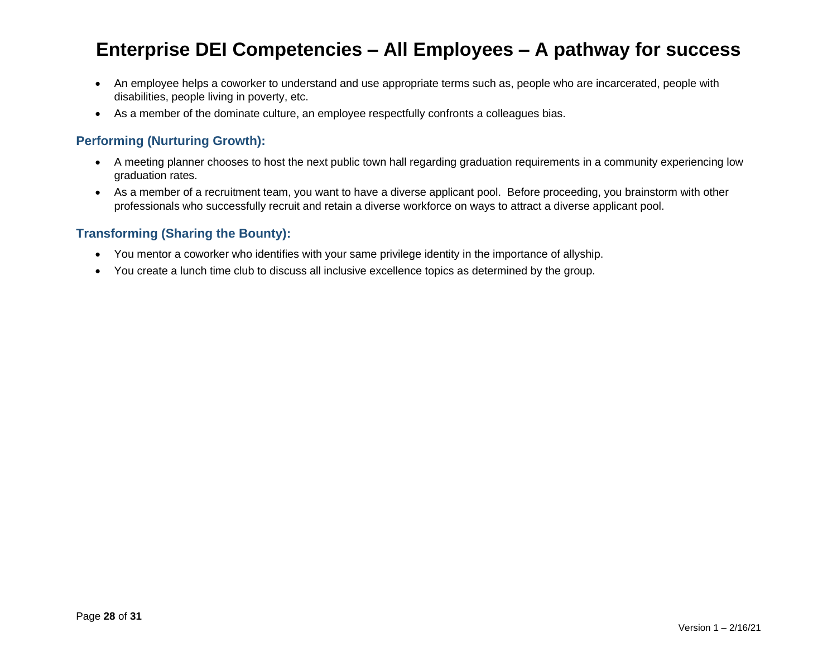- An employee helps a coworker to understand and use appropriate terms such as, people who are incarcerated, people with disabilities, people living in poverty, etc.
- As a member of the dominate culture, an employee respectfully confronts a colleagues bias.

#### **Performing (Nurturing Growth):**

- A meeting planner chooses to host the next public town hall regarding graduation requirements in a community experiencing low graduation rates.
- As a member of a recruitment team, you want to have a diverse applicant pool. Before proceeding, you brainstorm with other professionals who successfully recruit and retain a diverse workforce on ways to attract a diverse applicant pool.

- You mentor a coworker who identifies with your same privilege identity in the importance of allyship.
- You create a lunch time club to discuss all inclusive excellence topics as determined by the group.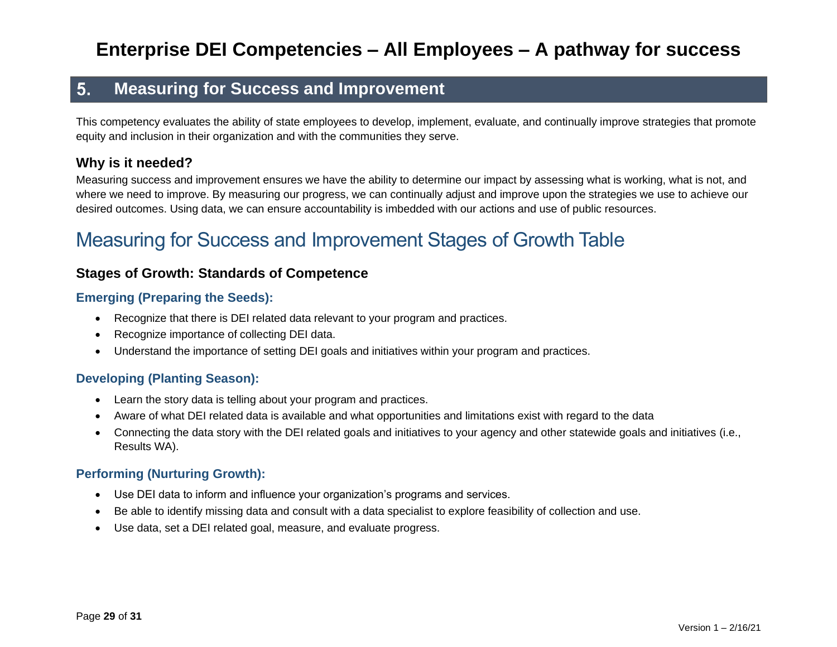#### **Measuring for Success and Improvement** 5.

This competency evaluates the ability of state employees to develop, implement, evaluate, and continually improve strategies that promote equity and inclusion in their organization and with the communities they serve.

### **Why is it needed?**

Measuring success and improvement ensures we have the ability to determine our impact by assessing what is working, what is not, and where we need to improve. By measuring our progress, we can continually adjust and improve upon the strategies we use to achieve our desired outcomes. Using data, we can ensure accountability is imbedded with our actions and use of public resources.

# Measuring for Success and Improvement Stages of Growth Table

#### **Stages of Growth: Standards of Competence**

#### **Emerging (Preparing the Seeds):**

- Recognize that there is DEI related data relevant to your program and practices.
- Recognize importance of collecting DEI data.
- Understand the importance of setting DEI goals and initiatives within your program and practices.

#### **Developing (Planting Season):**

- Learn the story data is telling about your program and practices.
- Aware of what DEI related data is available and what opportunities and limitations exist with regard to the data
- Connecting the data story with the DEI related goals and initiatives to your agency and other statewide goals and initiatives (i.e., Results WA).

#### **Performing (Nurturing Growth):**

- Use DEI data to inform and influence your organization's programs and services.
- Be able to identify missing data and consult with a data specialist to explore feasibility of collection and use.
- Use data, set a DEI related goal, measure, and evaluate progress.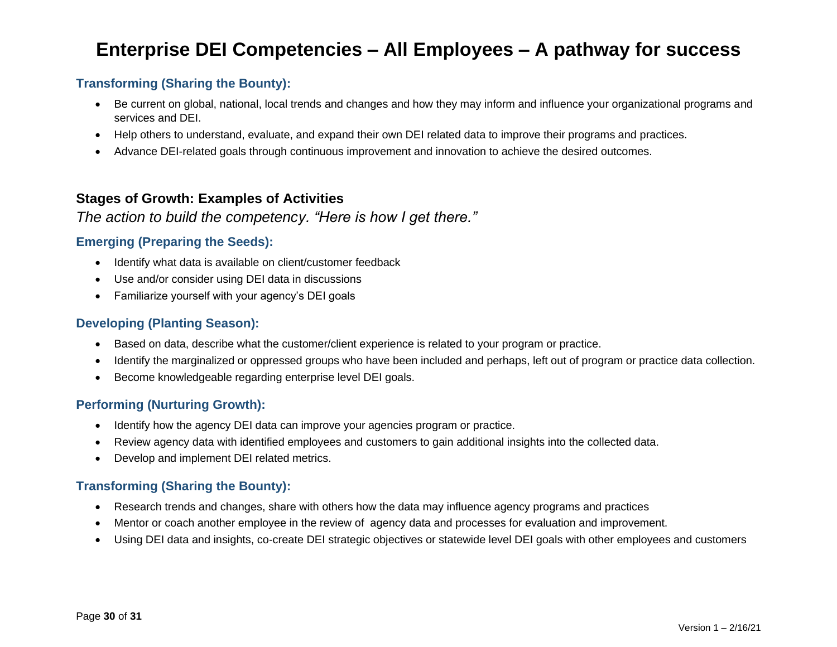### **Transforming (Sharing the Bounty):**

- Be current on global, national, local trends and changes and how they may inform and influence your organizational programs and services and DEI.
- Help others to understand, evaluate, and expand their own DEI related data to improve their programs and practices.
- Advance DEI-related goals through continuous improvement and innovation to achieve the desired outcomes.

### **Stages of Growth: Examples of Activities**

### *The action to build the competency. "Here is how I get there."*

#### **Emerging (Preparing the Seeds):**

- Identify what data is available on client/customer feedback
- Use and/or consider using DEI data in discussions
- Familiarize yourself with your agency's DEI goals

#### **Developing (Planting Season):**

- Based on data, describe what the customer/client experience is related to your program or practice.
- Identify the marginalized or oppressed groups who have been included and perhaps, left out of program or practice data collection.
- Become knowledgeable regarding enterprise level DEI goals.

### **Performing (Nurturing Growth):**

- Identify how the agency DEI data can improve your agencies program or practice.
- Review agency data with identified employees and customers to gain additional insights into the collected data.
- Develop and implement DEI related metrics.

- Research trends and changes, share with others how the data may influence agency programs and practices
- Mentor or coach another employee in the review of agency data and processes for evaluation and improvement.
- Using DEI data and insights, co-create DEI strategic objectives or statewide level DEI goals with other employees and customers